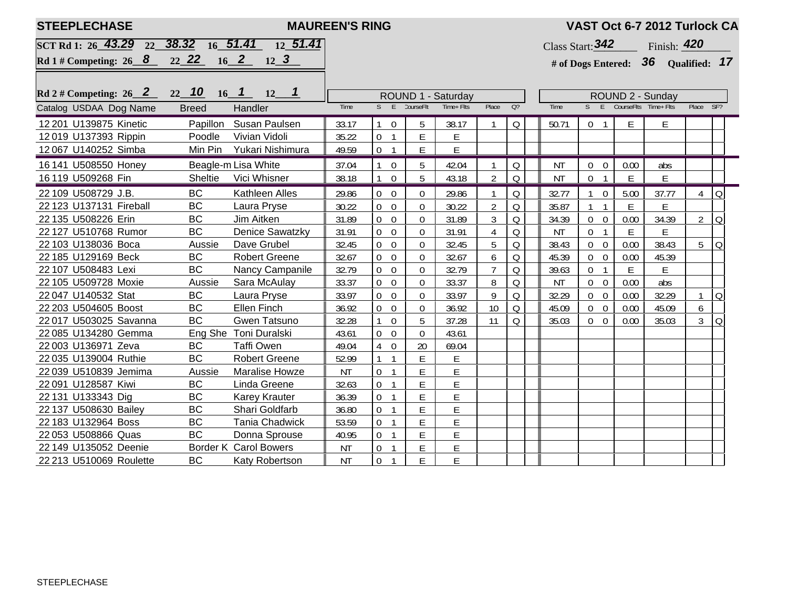| <b>STEEPLECHASE</b>                           | VAST Oct 6-7 2012 Turlock CA |                        |           |                                    |                    |            |                |                |                                   |                |                        |                                     |                |            |  |  |
|-----------------------------------------------|------------------------------|------------------------|-----------|------------------------------------|--------------------|------------|----------------|----------------|-----------------------------------|----------------|------------------------|-------------------------------------|----------------|------------|--|--|
| SCT Rd 1: 26 43.29 22 38.32 16 51.41 12 51.41 |                              |                        |           |                                    |                    |            |                |                | Class Start: $342$<br>Finish: 420 |                |                        |                                     |                |            |  |  |
| Rd 1# Competing: $26 \quad 8$                 |                              | 22 22 16 2 12 3        |           |                                    |                    |            |                |                |                                   |                |                        | # of Dogs Entered: 36 Qualified: 17 |                |            |  |  |
|                                               |                              |                        |           |                                    |                    |            |                |                |                                   |                |                        |                                     |                |            |  |  |
| Rd 2 # Competing: $26 \quad 2$                | $22 \t10 \t16 \t1$           |                        |           |                                    | ROUND 1 - Saturday |            |                |                |                                   |                | ROUND 2 - Sunday       |                                     |                |            |  |  |
| Catalog USDAA Dog Name                        | <b>Breed</b><br>Handler      |                        |           |                                    | CourseFlt:         | Time+ Flts | Place          | $Q$ ?          | <b>Time</b>                       | S              | E                      | CourseFlts Time+ Flts               | Place SF?      |            |  |  |
| 12 201 U139875 Kinetic                        | Papillon                     | Susan Paulsen          | 33.17     | $\overline{0}$                     | 5                  | 38.17      |                | Q              | 50.71                             | 0 <sub>1</sub> | E.                     | E.                                  |                |            |  |  |
| 12019 U137393 Rippin                          | Poodle                       | Vivian Vidoli          | 35.22     | $\overline{0}$<br>$\mathbf{1}$     | Е                  | E          |                |                |                                   |                |                        |                                     |                |            |  |  |
| 12 067 U140252 Simba                          | Min Pin                      | Yukari Nishimura       | 49.59     | $\overline{0}$<br>$\mathbf{1}$     | E                  | E          |                |                |                                   |                |                        |                                     |                |            |  |  |
| 16 141 U508550 Honey                          |                              | Beagle-m Lisa White    | 37.04     | $\overline{0}$                     | 5                  | 42.04      |                | Q              | NT                                | $\overline{0}$ | 0.00<br>$\overline{0}$ | abs                                 |                |            |  |  |
| 16 119 U509268 Fin                            | Sheltie                      | Vici Whisner           | 38.18     | $\mathbf 0$<br>$\mathbf{1}$        | 5                  | 43.18      | $\overline{2}$ | $\overline{O}$ | <b>NT</b>                         | $\overline{0}$ | E<br>$\mathbf{1}$      | E                                   |                |            |  |  |
| 22 109 U508729 J.B.                           | <b>BC</b>                    | Kathleen Alles         | 29.86     | $\overline{0}$<br>$\overline{0}$   | $\Omega$           | 29.86      |                | Q              | 32.77                             |                | $\overline{0}$<br>5.00 | 37.77                               | 4              | $\Omega$   |  |  |
| 22 123 U137131 Fireball                       | <b>BC</b>                    | Laura Pryse            | 30.22     | $\overline{0}$<br>$\overline{0}$   | $\overline{0}$     | 30.22      | $\overline{2}$ | Q              | 35.87                             | $\mathbf{1}$   | E<br>$\overline{1}$    | E                                   |                |            |  |  |
| 22 135 U508226 Erin                           | <b>BC</b>                    | Jim Aitken             | 31.89     | $\overline{0}$<br>$\overline{0}$   | $\overline{0}$     | 31.89      | $\mathfrak{Z}$ | Q              | 34.39                             | $0\quad 0$     | 0.00                   | 34.39                               | $\overline{2}$ | $\Omega$   |  |  |
| 22 127 U510768 Rumor                          | BC                           | <b>Denice Sawatzky</b> | 31.91     | $\overline{0}$<br>$\overline{0}$   | $\Omega$           | 31.91      | 4              | Q              | ΝT                                | 0 <sub>1</sub> | E.                     | Е                                   |                |            |  |  |
| 22 103 U138036 Boca                           | Aussie                       | Dave Grubel            | 32.45     | $\overline{0}$<br>$\overline{0}$   | $\Omega$           | 32.45      | 5              | Q              | 38.43                             | $0\quad 0$     | 0.00                   | 38.43                               |                | $5 \mid Q$ |  |  |
| 22 185 U129169 Beck                           | <b>BC</b>                    | <b>Robert Greene</b>   | 32.67     | $\overline{0}$<br>$\overline{0}$   | $\Omega$           | 32.67      | 6              | Q              | 45.39                             | $0\quad 0$     | 0.00                   | 45.39                               |                |            |  |  |
| 22 107 U508483 Lexi                           | <b>BC</b>                    | Nancy Campanile        | 32.79     | $\mathbf 0$<br>$\overline{0}$      | $\overline{0}$     | 32.79      | $\overline{7}$ | Q              | 39.63                             | 0 <sub>1</sub> | E                      | E                                   |                |            |  |  |
| 22 105 U509728 Moxie                          | Aussie                       | Sara McAulay           | 33.37     | $\mathbf 0$<br>$\overline{0}$      | $\overline{0}$     | 33.37      | 8              | $\overline{Q}$ | <b>NT</b>                         | $0\quad 0$     | 0.00                   | abs                                 |                |            |  |  |
| 22 047 U140532 Stat                           | <b>BC</b>                    | Laura Pryse            | 33.97     | $\boldsymbol{0}$<br>$\overline{0}$ | $\mathbf 0$        | 33.97      | 9              | Q              | 32.29                             | $0\quad 0$     | 0.00                   | 32.29                               | $\mathbf{1}$   | $\Omega$   |  |  |
| 22 203 U504605 Boost                          | BC                           | Ellen Finch            | 36.92     | $\mathbf 0$<br>$\overline{0}$      | $\mathbf 0$        | 36.92      | 10             | Q              | 45.09                             | $0\quad 0$     | 0.00                   | 45.09                               | 6              |            |  |  |
| 22 017 U503025 Savanna                        | <b>BC</b>                    | Gwen Tatsuno           | 32.28     | $\mathbf 0$<br>$\mathbf{1}$        | 5                  | 37.28      | 11             | Q              | 35.03                             | $0\quad 0$     | 0.00                   | 35.03                               | $\mathfrak{Z}$ | Q          |  |  |
| 22 085 U134280 Gemma                          |                              | Eng She Toni Duralski  | 43.61     | $\overline{0}$<br>$\overline{0}$   | $\mathbf{0}$       | 43.61      |                |                |                                   |                |                        |                                     |                |            |  |  |
| 22 003 U136971 Zeva                           | BC                           | <b>Taffi Owen</b>      | 49.04     | $\overline{4}$<br>$\overline{0}$   | 20                 | 69.04      |                |                |                                   |                |                        |                                     |                |            |  |  |
| 22 035 U139004 Ruthie                         | <b>BC</b>                    | <b>Robert Greene</b>   | 52.99     | $\mathbf{1}$<br>$\mathbf{1}$       | E                  | E          |                |                |                                   |                |                        |                                     |                |            |  |  |
| 22 039 U510839 Jemima                         | Aussie                       | <b>Maralise Howze</b>  | <b>NT</b> | $\overline{0}$<br>$\overline{1}$   | E                  | E          |                |                |                                   |                |                        |                                     |                |            |  |  |
| 22 091 U128587 Kiwi                           | BC                           | Linda Greene           | 32.63     | $\overline{0}$<br>$\mathbf{1}$     | E                  | E          |                |                |                                   |                |                        |                                     |                |            |  |  |
| 22 131 U133343 Dig                            | <b>BC</b>                    | Karey Krauter          | 36.39     | $\overline{0}$<br>$\overline{1}$   | E                  | E          |                |                |                                   |                |                        |                                     |                |            |  |  |
| 22 137 U508630 Bailey                         | BC                           | Shari Goldfarb         | 36.80     | $\boldsymbol{0}$<br>$\mathbf{1}$   | E                  | E          |                |                |                                   |                |                        |                                     |                |            |  |  |
| 22 183 U132964 Boss                           | BC                           | <b>Tania Chadwick</b>  | 53.59     | $\overline{0}$<br>$\mathbf{1}$     | E                  | E          |                |                |                                   |                |                        |                                     |                |            |  |  |
| 22 053 U508866 Quas                           | <b>BC</b>                    | Donna Sprouse          | 40.95     | $\overline{0}$<br>$\mathbf{1}$     | E                  | E          |                |                |                                   |                |                        |                                     |                |            |  |  |
| 22 149 U135052 Deenie                         |                              | Border K Carol Bowers  | ΝT        | $\overline{0}$<br>$\mathbf{1}$     | E                  | E          |                |                |                                   |                |                        |                                     |                |            |  |  |
| 22 213 U510069 Roulette                       | <b>BC</b>                    | Katy Robertson         | <b>NT</b> | $\overline{0}$<br>$\mathbf{1}$     | E                  | E          |                |                |                                   |                |                        |                                     |                |            |  |  |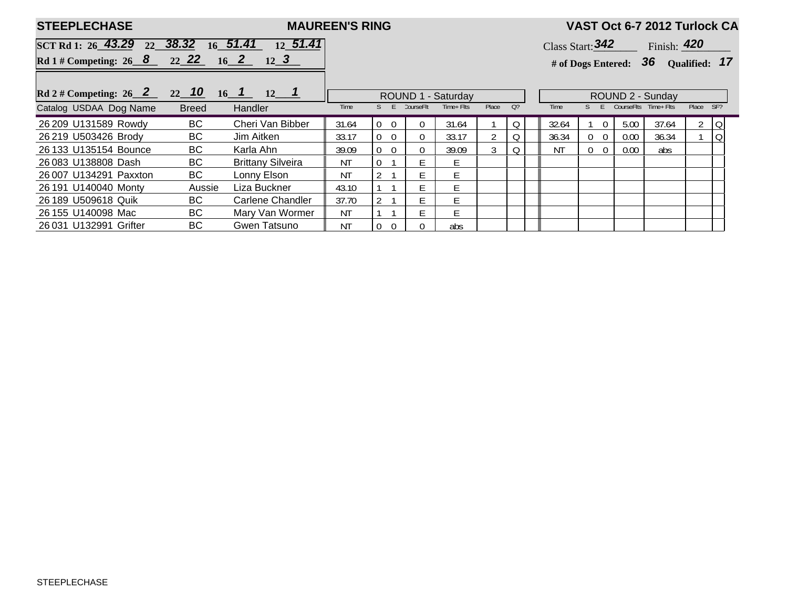| <b>STEEPLECHASE</b>                        |              |                          | <b>MAUREEN'S RING</b> |                                  |            |            |       |                |  | VAST Oct 6-7 2012 Turlock CA     |                                       |            |                  |           |                |  |  |
|--------------------------------------------|--------------|--------------------------|-----------------------|----------------------------------|------------|------------|-------|----------------|--|----------------------------------|---------------------------------------|------------|------------------|-----------|----------------|--|--|
| SCT Rd 1: $26$ 43.29 $22$ 38.32 $16$ 51.41 |              | 12, 51.41                |                       |                                  |            |            |       |                |  | Class Start: $342$ Finish: $420$ |                                       |            |                  |           |                |  |  |
| Rd 1 # Competing: 26 8 22 22 16 2 12 3     |              |                          |                       |                                  |            |            |       |                |  |                                  | # of Dogs Entered: $36$ Qualified: 17 |            |                  |           |                |  |  |
| Rd 2 # Competing: 26 2 22 10 16 1 12 1     |              |                          | ROUND 1 - Saturday    |                                  |            |            |       |                |  |                                  |                                       |            | ROUND 2 - Sunday |           |                |  |  |
| Catalog USDAA Dog Name                     | <b>Breed</b> | Handler                  | Time                  |                                  | CourseFlt: | Time+ Flts | Place | O <sub>2</sub> |  | Time                             |                                       | CourseFlts | Time+ Flts       | Place SF? |                |  |  |
| 26 209 U131589 Rowdy                       | BC           | Cheri Van Bibber         | 31.64                 | $\overline{0}$<br>$\Omega$       | 0          | 31.64      |       |                |  | 32.64                            | $\Omega$                              | 5.00       | 37.64            |           | $2 \mid Q$     |  |  |
| 26 219 U503426 Brody                       | BC.          | Jim Aitken               | 33.17                 | $\overline{0}$<br>$\overline{0}$ | 0          | 33.17      |       |                |  | 36.34                            | $0\quad 0$                            | 0.00       | 36.34            |           | $\overline{Q}$ |  |  |
| 26 133 U135154 Bounce                      | BC           | Karla Ahn                | 39.09                 | $\overline{0}$<br>-0             | $\Omega$   | 39.09      |       |                |  | ΝT                               | $0\quad 0$                            | 0.00       | abs              |           |                |  |  |
| 26 083 U138808 Dash                        | BC           | <b>Brittany Silveira</b> | ΝT                    |                                  | F.         | F.         |       |                |  |                                  |                                       |            |                  |           |                |  |  |
| 26 007 U134291 Paxxton                     | BC           | Lonny Elson              | ΝT                    |                                  | F          | E.         |       |                |  |                                  |                                       |            |                  |           |                |  |  |
| 26 191 U140040 Monty                       | Aussie       | Liza Buckner             | 43.10                 |                                  |            | F.         |       |                |  |                                  |                                       |            |                  |           |                |  |  |
| 26 189 U509618 Quik                        | BC           | Carlene Chandler         | 37.70                 |                                  |            | E.         |       |                |  |                                  |                                       |            |                  |           |                |  |  |
| 26 155 U140098 Mac                         | BC           | Mary Van Wormer          | ΝT                    |                                  |            | F.         |       |                |  |                                  |                                       |            |                  |           |                |  |  |
| 26 031 U132991 Grifter                     | BC           | Gwen Tatsuno             | <b>NT</b>             | $\overline{0}$<br>$\overline{0}$ |            | abs        |       |                |  |                                  |                                       |            |                  |           |                |  |  |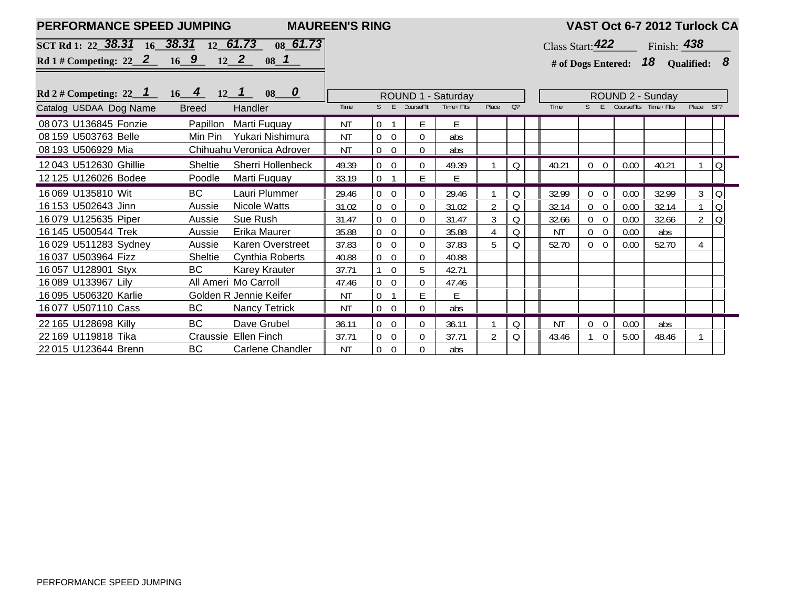| PERFORMANCE SPEED JUMPING                     |                           |                         | <b>MAUREEN'S RING</b> |                                    |                |            |                  |                                      |                    |  |                                  |                                   | VAST Oct 6-7 2012 Turlock CA |   |                |  |
|-----------------------------------------------|---------------------------|-------------------------|-----------------------|------------------------------------|----------------|------------|------------------|--------------------------------------|--------------------|--|----------------------------------|-----------------------------------|------------------------------|---|----------------|--|
| SCT Rd 1: 22 38.31 16 38.31 12 61.73 08 61.73 |                           |                         |                       |                                    |                |            |                  |                                      | Class Start: $422$ |  |                                  |                                   | Finish: 438                  |   |                |  |
| Rd 1 # Competing: 22 2 16 9 12 2 08 1         |                           |                         |                       |                                    |                |            |                  | # of Dogs Entered: $18$ Qualified: 8 |                    |  |                                  |                                   |                              |   |                |  |
|                                               |                           |                         |                       |                                    |                |            |                  |                                      |                    |  |                                  |                                   |                              |   |                |  |
| Rd 2 # Competing: 22 1 16 4 12 1              |                           |                         |                       | ROUND 1 - Saturday                 |                |            | ROUND 2 - Sunday |                                      |                    |  |                                  |                                   |                              |   |                |  |
| Catalog USDAA Dog Name                        | <b>Breed</b><br>Handler   |                         | Time                  | F                                  | CourseFlt:     | Time+ Flts | Place            | O <sub>2</sub>                       | Time               |  | $S$ $F$                          | CourseFlts Time+Flts<br>Place SF? |                              |   |                |  |
| 08 073 U136845 Fonzie                         | Papillon<br>Marti Fuquay  |                         | NT                    | $\theta$<br>$\overline{1}$         | E              | E.         |                  |                                      |                    |  |                                  |                                   |                              |   |                |  |
| 08 159 U503763 Belle                          | Min Pin                   | Yukari Nishimura        | <b>NT</b>             | $\overline{0}$<br>$\overline{0}$   | $\mathbf 0$    | abs        |                  |                                      |                    |  |                                  |                                   |                              |   |                |  |
| 08 193 U506929 Mia                            | Chihuahu Veronica Adrover |                         | <b>NT</b>             | $\overline{0}$<br>$\overline{0}$   | $\Omega$       | abs        |                  |                                      |                    |  |                                  |                                   |                              |   |                |  |
| 12043 U512630 Ghillie                         | <b>Sheltie</b>            | Sherri Hollenbeck       | 49.39                 | $\overline{0}$<br>$\overline{0}$   | $\Omega$       | 49.39      |                  | Q                                    | 40.21              |  | $\overline{0}$<br>$\overline{0}$ | 0.00                              | 40.21                        |   | $\overline{O}$ |  |
| 12 125 U126026 Bodee                          | Poodle<br>Marti Fuquay    |                         | 33.19                 | $\overline{0}$                     | E              | E.         |                  |                                      |                    |  |                                  |                                   |                              |   |                |  |
| 16 069 U135810 Wit                            | <b>BC</b>                 | Lauri Plummer           | 29.46                 | $\overline{0}$<br>$\Omega$         | $\Omega$       | 29.46      |                  | Q                                    | 32.99              |  | $\overline{0}$<br>$\overline{0}$ | 0.00                              | 32.99                        | 3 | $\Omega$       |  |
| 16 153 U502643 Jinn                           | Nicole Watts<br>Aussie    |                         | 31.02                 | $\overline{0}$<br>$\overline{0}$   | $\overline{0}$ | 31.02      | $\overline{2}$   | Q                                    | 32.14              |  | $\overline{0}$<br>$\Omega$       | 0.00                              | 32.14                        |   | $\overline{Q}$ |  |
| 16 079 U125635 Piper                          | Sue Rush<br>Aussie        |                         | 31.47                 | $\overline{0}$<br>$\boldsymbol{0}$ | $\mathbf 0$    | 31.47      | 3                | Q                                    | 32.66              |  | $\overline{0}$<br>$\overline{0}$ | 0.00                              | 32.66                        |   | $\overline{O}$ |  |
| 16 145 U500544 Trek                           | Erika Maurer<br>Aussie    |                         | 35.88                 | $\overline{0}$<br>$\Omega$         | $\overline{0}$ | 35.88      | 4                | Q                                    | <b>NT</b>          |  | $\overline{0}$<br>$\overline{0}$ | 0.00                              | abs                          |   |                |  |
| 16 029 U511283 Sydney                         | Aussie                    | <b>Karen Overstreet</b> | 37.83                 | $\overline{0}$<br>$\Omega$         | $\Omega$       | 37.83      | 5                | Q                                    | 52.70              |  | $\overline{0}$<br>$\overline{0}$ | 0.00                              | 52.70                        | 4 |                |  |
| 16 037 U503964 Fizz                           | Sheltie                   | <b>Cynthia Roberts</b>  | 40.88                 | $\mathbf 0$<br>$\overline{0}$      | $\overline{0}$ | 40.88      |                  |                                      |                    |  |                                  |                                   |                              |   |                |  |
| 16 057 U128901 Styx                           | <b>BC</b>                 | <b>Karey Krauter</b>    | 37.71                 | $\overline{0}$                     | 5              | 42.71      |                  |                                      |                    |  |                                  |                                   |                              |   |                |  |
| 16 089 U133967 Lily                           | All Ameri Mo Carroll      |                         | 47.46                 | $\overline{0}$<br>$\overline{0}$   | $\overline{0}$ | 47.46      |                  |                                      |                    |  |                                  |                                   |                              |   |                |  |
| 16 095 U506320 Karlie                         | Golden R Jennie Keifer    |                         | <b>NT</b>             | $\overline{0}$                     | E              | E          |                  |                                      |                    |  |                                  |                                   |                              |   |                |  |
| 16077 U507110 Cass                            | <b>BC</b>                 | Nancy Tetrick           | <b>NT</b>             | $\overline{0}$<br>$\overline{0}$   | $\Omega$       | abs        |                  |                                      |                    |  |                                  |                                   |                              |   |                |  |
| 22 165 U128698 Killy                          | <b>BC</b><br>Dave Grubel  |                         | 36.11                 | $\overline{0}$<br>$\overline{0}$   | $\Omega$       | 36.11      |                  | Q                                    | <b>NT</b>          |  | $\Omega$<br>$\Omega$             | 0.00                              | abs                          |   |                |  |
| 22 169 U119818 Tika                           | Craussie Ellen Finch      |                         | 37.71                 | $\overline{0}$<br>$\overline{0}$   | $\mathbf 0$    | 37.71      | 2                | Q                                    | 43.46              |  | $\mathbf{0}$                     | 5.00                              | 48.46                        |   |                |  |
| 22 015 U123644 Brenn                          | <b>BC</b>                 | <b>Carlene Chandler</b> | <b>NT</b>             | $\overline{0}$<br>$\overline{0}$   | $\Omega$       | abs        |                  |                                      |                    |  |                                  |                                   |                              |   |                |  |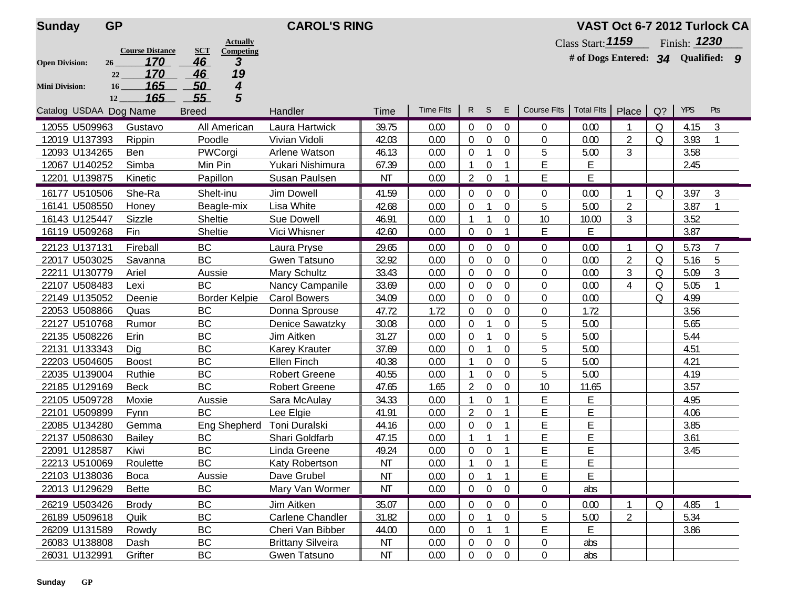| <b>Sunday</b>          | <b>GP</b>         |                               |                  | <b>CAROL'S RING</b>  |                          |           |                  |                  |                  |                  |                                       |                                    | VAST Oct 6-7 2012 Turlock CA |         |                     |                |  |  |  |  |
|------------------------|-------------------|-------------------------------|------------------|----------------------|--------------------------|-----------|------------------|------------------|------------------|------------------|---------------------------------------|------------------------------------|------------------------------|---------|---------------------|----------------|--|--|--|--|
|                        |                   |                               |                  | <b>Actually</b>      |                          |           |                  |                  |                  |                  |                                       | Class Start: 1159                  |                              |         | Finish: <b>1230</b> |                |  |  |  |  |
| <b>Open Division:</b>  | 26                | <b>Course Distance</b><br>170 | <b>SCT</b><br>46 | Competing<br>3       |                          |           |                  |                  |                  |                  |                                       | # of Dogs Entered: 34 Qualified: 9 |                              |         |                     |                |  |  |  |  |
|                        | 22                | 170                           | 46               | 19                   |                          |           |                  |                  |                  |                  |                                       |                                    |                              |         |                     |                |  |  |  |  |
| <b>Mini Division:</b>  | 16                | 165                           | 50               | 4                    |                          |           |                  |                  |                  |                  |                                       |                                    |                              |         |                     |                |  |  |  |  |
|                        | $12 \overline{ }$ | 165                           | 55               | 5                    |                          |           |                  |                  |                  |                  |                                       |                                    |                              |         |                     |                |  |  |  |  |
| Catalog USDAA Dog Name |                   |                               | <b>Breed</b>     |                      | Handler                  | Time      | <b>Time Flts</b> | R                | S.               | E                | Course Flts   Total Flts   Place   Q? |                                    |                              |         | <b>YPS</b>          | Pts            |  |  |  |  |
| 12055 U509963          |                   | Gustavo                       |                  | All American         | Laura Hartwick           | 39.75     | 0.00             | $\Omega$         | $\overline{0}$   | $\Omega$         | $\overline{0}$                        | 0.00                               |                              | 0       | 4.15                | 3              |  |  |  |  |
| 12019 U137393          |                   | Rippin                        | Poodle           |                      | Vivian Vidoli            | 42.03     | 0.00             | 0                | $\overline{0}$   | $\overline{0}$   | $\boldsymbol{0}$                      | 0.00                               | $\overline{2}$               | Q       | 3.93                |                |  |  |  |  |
| 12093 U134265          |                   | Ben                           | PWCorgi          |                      | Arlene Watson            | 46.13     | 0.00             | $\theta$         |                  | $\Omega$         | 5                                     | 5.00                               | 3                            |         | 3.58                |                |  |  |  |  |
| 12067 U140252          |                   | Simba                         | Min Pin          |                      | Yukari Nishimura         | 67.39     | 0.00             | 1                | 0                |                  | E                                     | Е                                  |                              |         | 2.45                |                |  |  |  |  |
| 12201 U139875          |                   | Kinetic                       | Papillon         |                      | Susan Paulsen            | ΝT        | 0.00             | $\overline{2}$   | 0                |                  | E                                     | E                                  |                              |         |                     |                |  |  |  |  |
| 16177 U510506          |                   | She-Ra                        | Shelt-inu        |                      | Jim Dowell               | 41.59     | 0.00             | 0                | 0                | $\mathbf{0}$     | $\overline{0}$                        | 0.00                               |                              | Q       | 3.97                | $\mathfrak{Z}$ |  |  |  |  |
| 16141 U508550          |                   | Honey                         |                  | Beagle-mix           | Lisa White               | 42.68     | 0.00             | $\theta$         |                  | $\Omega$         | 5                                     | 5.00                               | $\overline{2}$               |         | 3.87                |                |  |  |  |  |
| 16143 U125447          |                   | Sizzle                        | <b>Sheltie</b>   |                      | <b>Sue Dowell</b>        | 46.91     | 0.00             | 1                | $\mathbf{1}$     | 0                | 10                                    | 10.00                              | 3                            |         | 3.52                |                |  |  |  |  |
| 16119 U509268          |                   | Fin                           | Sheltie          |                      | Vici Whisner             | 42.60     | 0.00             | 0                | 0                | $\mathbf{1}$     | E                                     | E                                  |                              |         | 3.87                |                |  |  |  |  |
| 22123 U137131          |                   | Fireball                      | <b>BC</b>        |                      | Laura Pryse              | 29.65     | 0.00             | $\boldsymbol{0}$ | 0                | $\theta$         | $\overline{0}$                        | 0.00                               |                              | Q       | 5.73                | $\overline{7}$ |  |  |  |  |
| 22017 U503025          |                   | Savanna                       | <b>BC</b>        |                      | Gwen Tatsuno             | 32.92     | 0.00             | $\boldsymbol{0}$ | $\Omega$         | $\mathbf 0$      | $\mathbf 0$                           | 0.00                               | $\overline{2}$               | Q       | 5.16                | 5              |  |  |  |  |
| 22211 U130779          |                   | Ariel                         | Aussie           |                      | Mary Schultz             | 33.43     | 0.00             | 0                | 0                | 0                | $\mathbf 0$                           | 0.00                               | 3                            | Q       | 5.09                | 3              |  |  |  |  |
| 22107 U508483          |                   | Lexi                          | <b>BC</b>        |                      | Nancy Campanile          | 33.69     | 0.00             | 0                | 0                | 0                | $\mathbf 0$                           | 0.00                               | 4                            | Q       | 5.05                |                |  |  |  |  |
| 22149 U135052          |                   | Deenie                        |                  | <b>Border Kelpie</b> | <b>Carol Bowers</b>      | 34.09     | 0.00             | 0                | $\Omega$         | $\Omega$         | 0                                     | 0.00                               |                              | $\circ$ | 4.99                |                |  |  |  |  |
| 22053 U508866          |                   | Quas                          | <b>BC</b>        |                      | Donna Sprouse            | 47.72     | 1.72             | $\theta$         | $\Omega$         | $\Omega$         | 0                                     | 1.72                               |                              |         | 3.56                |                |  |  |  |  |
| 22127 U510768          |                   | Rumor                         | BC               |                      | Denice Sawatzky          | 30.08     | 0.00             | 0                |                  | 0                | 5                                     | 5.00                               |                              |         | 5.65                |                |  |  |  |  |
| 22135 U508226          |                   | Erin                          | BC               |                      | Jim Aitken               | 31.27     | 0.00             | $\theta$         |                  | $\Omega$         | 5                                     | 5.00                               |                              |         | 5.44                |                |  |  |  |  |
| 22131 U133343          |                   | Dig                           | <b>BC</b>        |                      | <b>Karey Krauter</b>     | 37.69     | 0.00             | 0                | 1                | 0                | 5                                     | 5.00                               |                              |         | 4.51                |                |  |  |  |  |
| 22203 U504605          |                   | <b>Boost</b>                  | <b>BC</b>        |                      | <b>Ellen Finch</b>       | 40.38     | 0.00             | $\mathbf{1}$     | 0                | $\mathbf 0$      | 5                                     | 5.00                               |                              |         | 4.21                |                |  |  |  |  |
| 22035 U139004          |                   | Ruthie                        | BC               |                      | <b>Robert Greene</b>     | 40.55     | 0.00             | $\mathbf{1}$     | 0                | 0                | 5                                     | 5.00                               |                              |         | 4.19                |                |  |  |  |  |
| 22185 U129169          |                   | <b>Beck</b>                   | <b>BC</b>        |                      | <b>Robert Greene</b>     | 47.65     | 1.65             | $\overline{2}$   | $\Omega$         | $\Omega$         | 10                                    | 11.65                              |                              |         | 3.57                |                |  |  |  |  |
| 22105 U509728          |                   | Moxie                         | Aussie           |                      | Sara McAulay             | 34.33     | 0.00             | $\mathbf{1}$     | 0                | 1                | E                                     | E                                  |                              |         | 4.95                |                |  |  |  |  |
| 22101 U509899          |                   | Fynn                          | <b>BC</b>        |                      | Lee Elgie                | 41.91     | 0.00             | 2                | $\mathbf 0$      |                  | E                                     | E                                  |                              |         | 4.06                |                |  |  |  |  |
| 22085 U134280          |                   | Gemma                         |                  | Eng Shepherd         | Toni Duralski            | 44.16     | 0.00             | 0                | $\mathbf 0$      |                  | E                                     | E                                  |                              |         | 3.85                |                |  |  |  |  |
| 22137 U508630          |                   | <b>Bailey</b>                 | BC               |                      | Shari Goldfarb           | 47.15     | 0.00             | 1                |                  |                  | E                                     | E                                  |                              |         | 3.61                |                |  |  |  |  |
| 22091 U128587          |                   | Kiwi                          | <b>BC</b>        |                      | Linda Greene             | 49.24     | 0.00             | 0                | 0                |                  | E                                     | E                                  |                              |         | 3.45                |                |  |  |  |  |
| 22213 U510069          |                   | Roulette                      | <b>BC</b>        |                      | Katy Robertson           | <b>NT</b> | 0.00             | 1                | 0                | 1                | E                                     | E                                  |                              |         |                     |                |  |  |  |  |
| 22103 U138036          |                   | <b>Boca</b>                   | Aussie           |                      | Dave Grubel              | <b>NT</b> | 0.00             | $\boldsymbol{0}$ | $\mathbf{1}$     | $\mathbf{1}$     | E                                     | E                                  |                              |         |                     |                |  |  |  |  |
| 22013 U129629          |                   | <b>Bette</b>                  | ВC               |                      | Mary Van Wormer          | <b>NT</b> | 0.00             | $\boldsymbol{0}$ | $\overline{0}$   | $\overline{0}$   | $\mathbf 0$                           | abs                                |                              |         |                     |                |  |  |  |  |
| 26219 U503426          |                   | <b>Brody</b>                  | BC               |                      | Jim Aitken               | 35.07     | 0.00             | $\mathbf 0$      | $\boldsymbol{0}$ | $\boldsymbol{0}$ | $\boldsymbol{0}$                      | 0.00                               |                              | Q       | 4.85                |                |  |  |  |  |
| 26189 U509618          |                   | Quik                          | BC               |                      | Carlene Chandler         | 31.82     | 0.00             | 0                |                  | $\boldsymbol{0}$ | 5                                     | 5.00                               | $\overline{2}$               |         | 5.34                |                |  |  |  |  |
| 26209 U131589          |                   | Rowdy                         | BC               |                      | Cheri Van Bibber         | 44.00     | 0.00             | $\boldsymbol{0}$ | $\mathbf{1}$     | $\mathbf{1}$     | E                                     | E.                                 |                              |         | 3.86                |                |  |  |  |  |
| 26083 U138808          |                   | Dash                          | BC               |                      | <b>Brittany Silveira</b> | NT        | 0.00             | $\boldsymbol{0}$ | $\boldsymbol{0}$ | $\boldsymbol{0}$ | $\boldsymbol{0}$                      | abs                                |                              |         |                     |                |  |  |  |  |
| 26031 U132991          |                   | Grifter                       | ВC               |                      | Gwen Tatsuno             | ΝT        | 0.00             | 0                | $\pmb{0}$        | $\pmb{0}$        | $\overline{0}$                        | abs                                |                              |         |                     |                |  |  |  |  |